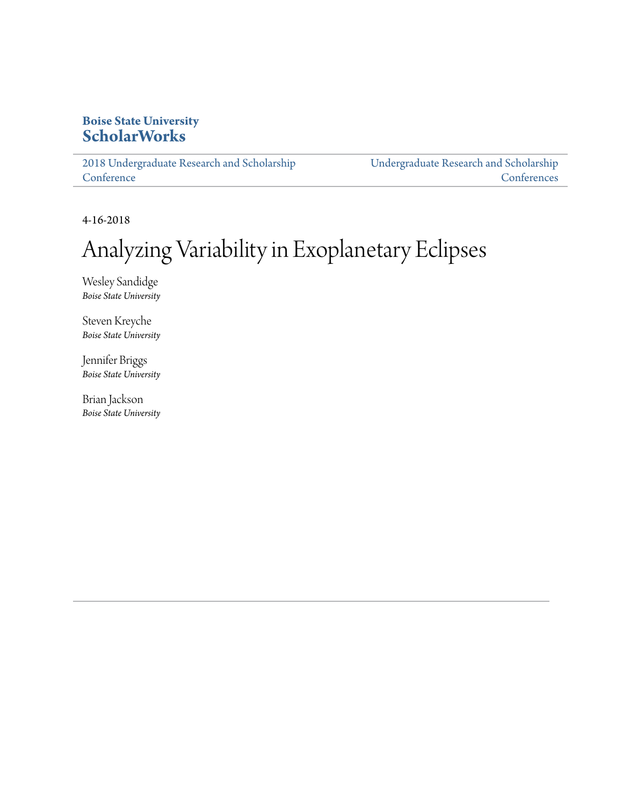#### **Boise State University [ScholarWorks](https://scholarworks.boisestate.edu)**

[2018 Undergraduate Research and Scholarship](https://scholarworks.boisestate.edu/under_conf_2018) **[Conference](https://scholarworks.boisestate.edu/under_conf_2018)** 

[Undergraduate Research and Scholarship](https://scholarworks.boisestate.edu/under_conference) **[Conferences](https://scholarworks.boisestate.edu/under_conference)** 

4-16-2018

#### Analyzing Variability in Exoplanetary Eclipses

Wesley Sandidge *Boise State University*

Steven Kreyche *Boise State University*

Jennifer Briggs *Boise State University*

Brian Jackson *Boise State University*